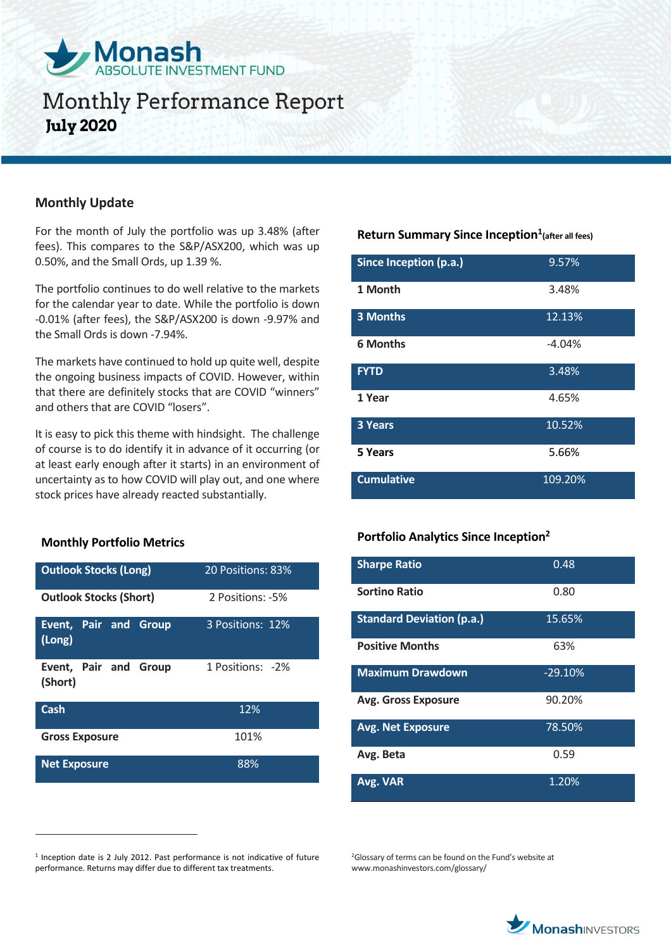

## **Monthly Performance Report July 2020**

## **Monthly Update**

For the month of July the portfolio was up 3.48% (after fees). This compares to the S&P/ASX200, which was up 0.50%, and the Small Ords, up 1.39 %.

The portfolio continues to do well relative to the markets for the calendar year to date. While the portfolio is down -0.01% (after fees), the S&P/ASX200 is down -9.97% and the Small Ords is down -7.94%.

The markets have continued to hold up quite well, despite the ongoing business impacts of COVID. However, within that there are definitely stocks that are COVID "winners" and others that are COVID "losers".

It is easy to pick this theme with hindsight. The challenge of course is to do identify it in advance of it occurring (or at least early enough after it starts) in an environment of uncertainty as to how COVID will play out, and one where stock prices have already reacted substantially.

## **Monthly Portfolio Metrics**

 $\overline{a}$ 

| <b>Outlook Stocks (Long)</b>           | 20 Positions: 83% |
|----------------------------------------|-------------------|
| <b>Outlook Stocks (Short)</b>          | 2 Positions: -5%  |
| <b>Event, Pair and Group</b><br>(Long) | 3 Positions: 12%  |
| Event, Pair and Group<br>(Short)       | 1 Positions: -2%  |
| Cash                                   | 12%               |
| <b>Gross Exposure</b>                  | 101%              |
| <b>Net Exposure</b>                    | 88%               |

## **Return Summary Since Inception<sup>1</sup> (after all fees)**

| Since Inception (p.a.) | 9.57%    |
|------------------------|----------|
| 1 Month                | 3.48%    |
| 3 Months               | 12.13%   |
| <b>6 Months</b>        | $-4.04%$ |
| <b>FYTD</b>            | 3.48%    |
| 1 Year                 | 4.65%    |
| <b>3 Years</b>         | 10.52%   |
| 5 Years                | 5.66%    |
| <b>Cumulative</b>      | 109.20%  |

#### **Portfolio Analytics Since Inception<sup>2</sup>**

| <b>Sharpe Ratio</b>              | 0.48      |
|----------------------------------|-----------|
| <b>Sortino Ratio</b>             | 0.80      |
| <b>Standard Deviation (p.a.)</b> | 15.65%    |
| <b>Positive Months</b>           | 63%       |
| <b>Maximum Drawdown</b>          | $-29.10%$ |
| <b>Avg. Gross Exposure</b>       | 90.20%    |
| <b>Avg. Net Exposure</b>         | 78.50%    |
| Avg. Beta                        | 0.59      |
| Avg. VAR                         | 1.20%     |

<sup>2</sup>Glossary of terms can be found on the Fund's website at www.monashinvestors.com/glossary/



<sup>&</sup>lt;sup>1</sup> Inception date is 2 July 2012. Past performance is not indicative of future performance. Returns may differ due to different tax treatments.